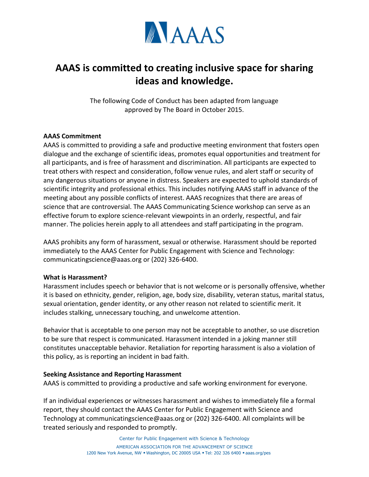

# **AAAS is committed to creating inclusive space for sharing ideas and knowledge.**

The following Code of Conduct has been adapted from language approved by The Board in October 2015.

### **AAAS Commitment**

AAAS is committed to providing a safe and productive meeting environment that fosters open dialogue and the exchange of scientific ideas, promotes equal opportunities and treatment for all participants, and is free of harassment and discrimination. All participants are expected to treat others with respect and consideration, follow venue rules, and alert staff or security of any dangerous situations or anyone in distress. Speakers are expected to uphold standards of scientific integrity and professional ethics. This includes notifying AAAS staff in advance of the meeting about any possible conflicts of interest. AAAS recognizes that there are areas of science that are controversial. The AAAS Communicating Science workshop can serve as an effective forum to explore science-relevant viewpoints in an orderly, respectful, and fair manner. The policies herein apply to all attendees and staff participating in the program.

AAAS prohibits any form of harassment, sexual or otherwise. Harassment should be reported immediately to the AAAS Center for Public Engagement with Science and Technology: communicatingscience@aaas.org or (202) 326-6400.

#### **What is Harassment?**

Harassment includes speech or behavior that is not welcome or is personally offensive, whether it is based on ethnicity, gender, religion, age, body size, disability, veteran status, marital status, sexual orientation, gender identity, or any other reason not related to scientific merit. It includes stalking, unnecessary touching, and unwelcome attention.

Behavior that is acceptable to one person may not be acceptable to another, so use discretion to be sure that respect is communicated. Harassment intended in a joking manner still constitutes unacceptable behavior. Retaliation for reporting harassment is also a violation of this policy, as is reporting an incident in bad faith.

#### **Seeking Assistance and Reporting Harassment**

AAAS is committed to providing a productive and safe working environment for everyone.

If an individual experiences or witnesses harassment and wishes to immediately file a formal report, they should contact the AAAS Center for Public Engagement with Science and Technology at communicatingscience@aaas.org or (202) 326-6400. All complaints will be treated seriously and responded to promptly.